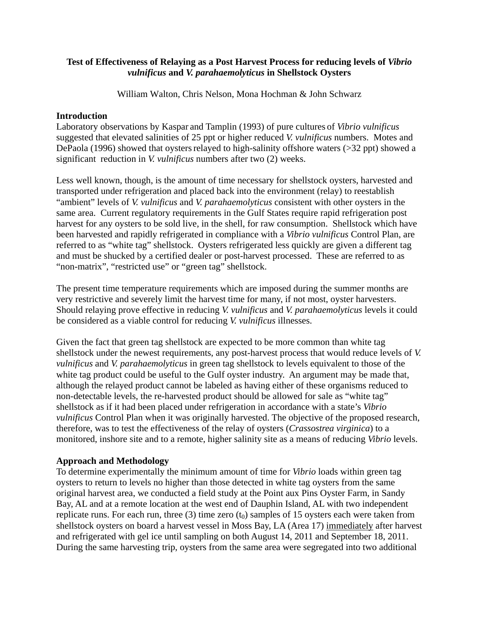# **Test of Effectiveness of Relaying as a Post Harvest Process for reducing levels of** *Vibrio vulnificus* **and** *V. parahaemolyticus* **in Shellstock Oysters**

William Walton, Chris Nelson, Mona Hochman & John Schwarz

## **Introduction**

Laboratory observations by Kaspar and Tamplin ([1993\)](http://aem.asm.org/cgi/content/full/64/4/1459#B10) of pure cultures of *Vibrio vulnificus* suggested that elevated salinities of 25 ppt or higher reduced *V. vulnificus* numbers. Motes and DePaola (1996) showed that oysters relayed to high-salinity offshore waters ( $>32$  ppt) showed a significant reduction in *V. vulnificus* numbers after two (2) weeks.

Less well known, though, is the amount of time necessary for shellstock oysters, harvested and transported under refrigeration and placed back into the environment (relay) to reestablish "ambient" levels of *V. vulnificus* and *V. parahaemolyticus* consistent with other oysters in the same area. Current regulatory requirements in the Gulf States require rapid refrigeration post harvest for any oysters to be sold live, in the shell, for raw consumption. Shellstock which have been harvested and rapidly refrigerated in compliance with a *Vibrio vulnificus* Control Plan, are referred to as "white tag" shellstock. Oysters refrigerated less quickly are given a different tag and must be shucked by a certified dealer or post-harvest processed. These are referred to as "non-matrix", "restricted use" or "green tag" shellstock.

The present time temperature requirements which are imposed during the summer months are very restrictive and severely limit the harvest time for many, if not most, oyster harvesters. Should relaying prove effective in reducing *V. vulnificus* and *V. parahaemolyticus* levels it could be considered as a viable control for reducing *V. vulnificus* illnesses.

Given the fact that green tag shellstock are expected to be more common than white tag shellstock under the newest requirements, any post-harvest process that would reduce levels of *V. vulnificus* and *V. parahaemolyticus* in green tag shellstock to levels equivalent to those of the white tag product could be useful to the Gulf oyster industry. An argument may be made that, although the relayed product cannot be labeled as having either of these organisms reduced to non-detectable levels, the re-harvested product should be allowed for sale as "white tag" shellstock as if it had been placed under refrigeration in accordance with a state's *Vibrio vulnificus* Control Plan when it was originally harvested. The objective of the proposed research, therefore, was to test the effectiveness of the relay of oysters (*Crassostrea virginica*) to a monitored, inshore site and to a remote, higher salinity site as a means of reducing *Vibrio* levels.

## **Approach and Methodology**

To determine experimentally the minimum amount of time for *Vibrio* loads within green tag oysters to return to levels no higher than those detected in white tag oysters from the same original harvest area, we conducted a field study at the Point aux Pins Oyster Farm, in Sandy Bay, AL and at a remote location at the west end of Dauphin Island, AL with two independent replicate runs. For each run, three (3) time zero  $(t_0)$  samples of 15 oysters each were taken from shellstock oysters on board a harvest vessel in Moss Bay, LA (Area 17) immediately after harvest and refrigerated with gel ice until sampling on both August 14, 2011 and September 18, 2011. During the same harvesting trip, oysters from the same area were segregated into two additional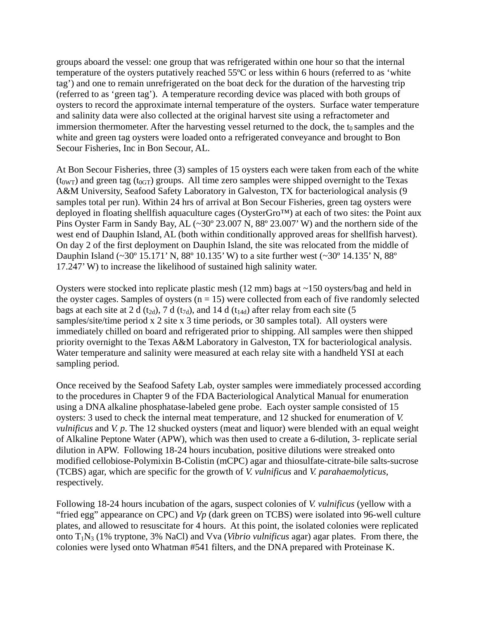groups aboard the vessel: one group that was refrigerated within one hour so that the internal temperature of the oysters putatively reached 55ºC or less within 6 hours (referred to as 'white tag') and one to remain unrefrigerated on the boat deck for the duration of the harvesting trip (referred to as 'green tag'). A temperature recording device was placed with both groups of oysters to record the approximate internal temperature of the oysters. Surface water temperature and salinity data were also collected at the original harvest site using a refractometer and immersion thermometer. After the harvesting vessel returned to the dock, the  $t_0$  samples and the white and green tag oysters were loaded onto a refrigerated conveyance and brought to Bon Secour Fisheries, Inc in Bon Secour, AL.

At Bon Secour Fisheries, three (3) samples of 15 oysters each were taken from each of the white  $(t_{0WT})$  and green tag ( $t_{0GT}$ ) groups. All time zero samples were shipped overnight to the Texas A&M University, Seafood Safety Laboratory in Galveston, TX for bacteriological analysis (9 samples total per run). Within 24 hrs of arrival at Bon Secour Fisheries, green tag oysters were deployed in floating shellfish aquaculture cages (OysterGro™) at each of two sites: the Point aux Pins Oyster Farm in Sandy Bay, AL (~30° 23.007 N, 88° 23.007' W) and the northern side of the west end of Dauphin Island, AL (both within conditionally approved areas for shellfish harvest). On day 2 of the first deployment on Dauphin Island, the site was relocated from the middle of Dauphin Island (~30º 15.171' N, 88º 10.135' W) to a site further west (~30º 14.135' N, 88º 17.247' W) to increase the likelihood of sustained high salinity water.

Oysters were stocked into replicate plastic mesh  $(12 \text{ mm})$  bags at  $\sim 150$  oysters/bag and held in the oyster cages. Samples of oysters  $(n = 15)$  were collected from each of five randomly selected bags at each site at 2 d (t<sub>2d</sub>), 7 d (t<sub>7d</sub>), and 14 d (t<sub>14d</sub>) after relay from each site (5 samples/site/time period x 2 site x 3 time periods, or 30 samples total). All oysters were immediately chilled on board and refrigerated prior to shipping. All samples were then shipped priority overnight to the Texas A&M Laboratory in Galveston, TX for bacteriological analysis. Water temperature and salinity were measured at each relay site with a handheld YSI at each sampling period.

Once received by the Seafood Safety Lab, oyster samples were immediately processed according to the procedures in Chapter 9 of the FDA Bacteriological Analytical Manual for enumeration using a DNA alkaline phosphatase-labeled gene probe. Each oyster sample consisted of 15 oysters: 3 used to check the internal meat temperature, and 12 shucked for enumeration of *V. vulnificus* and *V. p*. The 12 shucked oysters (meat and liquor) were blended with an equal weight of Alkaline Peptone Water (APW), which was then used to create a 6-dilution, 3- replicate serial dilution in APW. Following 18-24 hours incubation, positive dilutions were streaked onto modified cellobiose-Polymixin B-Colistin (mCPC) agar and thiosulfate-citrate-bile salts-sucrose (TCBS) agar, which are specific for the growth of *V. vulnificus* and *V. parahaemolyticus*, respectively.

Following 18-24 hours incubation of the agars, suspect colonies of *V. vulnificus* (yellow with a "fried egg" appearance on CPC) and *Vp* (dark green on TCBS) were isolated into 96-well culture plates, and allowed to resuscitate for 4 hours. At this point, the isolated colonies were replicated onto T1N3 (1% tryptone, 3% NaCl) and Vva (*Vibrio vulnificus* agar) agar plates. From there, the colonies were lysed onto Whatman #541 filters, and the DNA prepared with Proteinase K.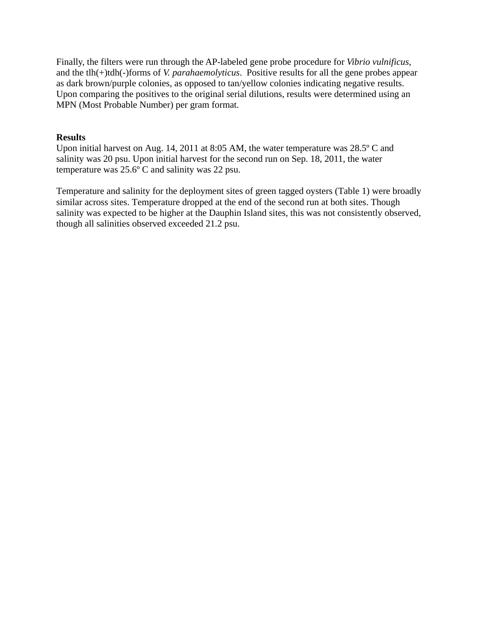Finally, the filters were run through the AP-labeled gene probe procedure for *Vibrio vulnificus*, and the tlh(+)tdh(-)forms of *V. parahaemolyticus*. Positive results for all the gene probes appear as dark brown/purple colonies, as opposed to tan/yellow colonies indicating negative results. Upon comparing the positives to the original serial dilutions, results were determined using an MPN (Most Probable Number) per gram format.

### **Results**

Upon initial harvest on Aug. 14, 2011 at 8:05 AM, the water temperature was 28.5º C and salinity was 20 psu. Upon initial harvest for the second run on Sep. 18, 2011, the water temperature was 25.6º C and salinity was 22 psu.

Temperature and salinity for the deployment sites of green tagged oysters (Table 1) were broadly similar across sites. Temperature dropped at the end of the second run at both sites. Though salinity was expected to be higher at the Dauphin Island sites, this was not consistently observed, though all salinities observed exceeded 21.2 psu.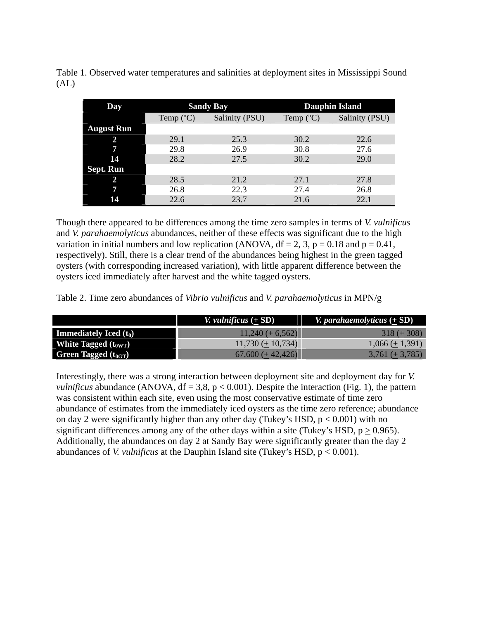Table 1. Observed water temperatures and salinities at deployment sites in Mississippi Sound (AL)

| Day               | <b>Sandy Bay</b>   |                | <b>Dauphin Island</b> |                |
|-------------------|--------------------|----------------|-----------------------|----------------|
|                   | Temp $(^{\circ}C)$ | Salinity (PSU) | Temp $(^{\circ}C)$    | Salinity (PSU) |
| <b>August Run</b> |                    |                |                       |                |
| 2                 | 29.1               | 25.3           | 30.2                  | 22.6           |
|                   | 29.8               | 26.9           | 30.8                  | 27.6           |
| 14                | 28.2               | 27.5           | 30.2                  | 29.0           |
| Sept. Run         |                    |                |                       |                |
|                   | 28.5               | 21.2           | 27.1                  | 27.8           |
|                   | 26.8               | 22.3           | 27.4                  | 26.8           |
| 14                | 22.6               | 23.7           | 21.6                  | 22.1           |

Though there appeared to be differences among the time zero samples in terms of *V. vulnificus* and *V. parahaemolyticus* abundances, neither of these effects was significant due to the high variation in initial numbers and low replication (ANOVA,  $df = 2$ , 3,  $p = 0.18$  and  $p = 0.41$ , respectively). Still, there is a clear trend of the abundances being highest in the green tagged oysters (with corresponding increased variation), with little apparent difference between the oysters iced immediately after harvest and the white tagged oysters.

Table 2. Time zero abundances of *Vibrio vulnificus* and *V. parahaemolyticus* in MPN/g

|                                 | <i>V. vulnificus</i> $(+ SD)$ | <i>V. parahaemolyticus</i> $(+$ SD) |
|---------------------------------|-------------------------------|-------------------------------------|
| <b>Immediately Iced</b> $(t_0)$ | $11,240 (+ 6,562)$            | $318 (+ 308)$                       |
| White Tagged $(t_{0WT})$        | $11,730 \ (\pm 10,734)$       | $1,066 (\pm 1,391)$                 |
| <b>Green Tagged</b> $(t_{0GT})$ | $67,600 (+42,426)$            | $3,761 (\pm 3,785)$                 |

Interestingly, there was a strong interaction between deployment site and deployment day for *V. vulnificus* abundance (ANOVA,  $df = 3.8$ ,  $p < 0.001$ ). Despite the interaction (Fig. 1), the pattern was consistent within each site, even using the most conservative estimate of time zero abundance of estimates from the immediately iced oysters as the time zero reference; abundance on day 2 were significantly higher than any other day (Tukey's HSD,  $p < 0.001$ ) with no significant differences among any of the other days within a site (Tukey's HSD,  $p > 0.965$ ). Additionally, the abundances on day 2 at Sandy Bay were significantly greater than the day 2 abundances of *V. vulnificus* at the Dauphin Island site (Tukey's HSD, p < 0.001).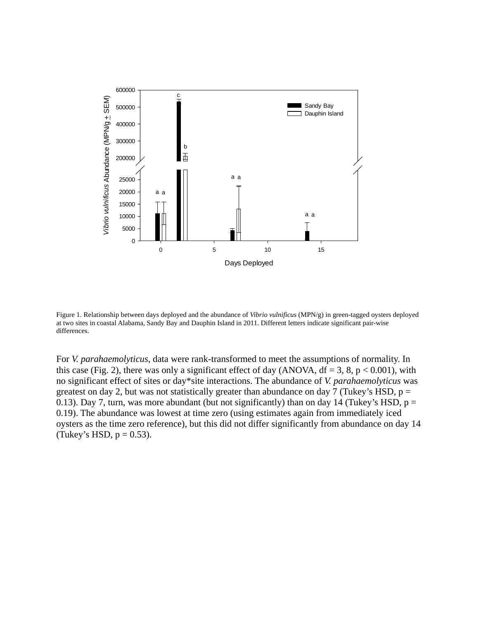

Figure 1. Relationship between days deployed and the abundance of *Vibrio vulnificus* (MPN/g) in green-tagged oysters deployed at two sites in coastal Alabama, Sandy Bay and Dauphin Island in 2011. Different letters indicate significant pair-wise differences.

For *V. parahaemolyticus*, data were rank-transformed to meet the assumptions of normality. In this case (Fig. 2), there was only a significant effect of day (ANOVA,  $df = 3$ , 8, p < 0.001), with no significant effect of sites or day\*site interactions. The abundance of *V. parahaemolyticus* was greatest on day 2, but was not statistically greater than abundance on day 7 (Tukey's HSD,  $p =$ 0.13). Day 7, turn, was more abundant (but not significantly) than on day 14 (Tukey's HSD,  $p =$ 0.19). The abundance was lowest at time zero (using estimates again from immediately iced oysters as the time zero reference), but this did not differ significantly from abundance on day 14 (Tukey's HSD,  $p = 0.53$ ).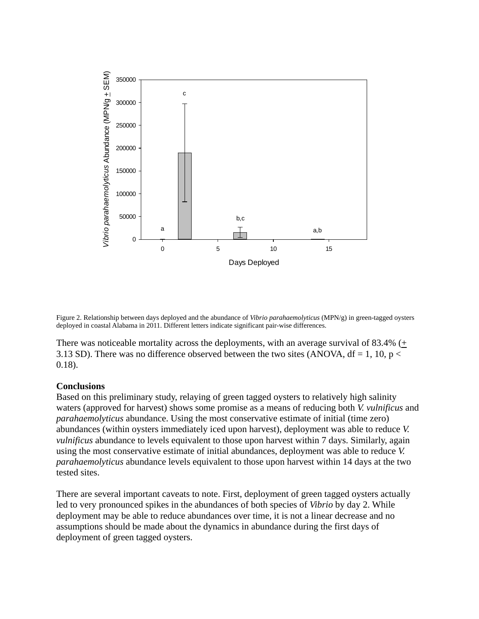

Figure 2. Relationship between days deployed and the abundance of *Vibrio parahaemolyticus* (MPN/g) in green-tagged oysters deployed in coastal Alabama in 2011. Different letters indicate significant pair-wise differences.

There was noticeable mortality across the deployments, with an average survival of 83.4%  $(+)$ 3.13 SD). There was no difference observed between the two sites (ANOVA,  $df = 1$ , 10, p < 0.18).

## **Conclusions**

Based on this preliminary study, relaying of green tagged oysters to relatively high salinity waters (approved for harvest) shows some promise as a means of reducing both *V. vulnificus* and *parahaemolyticus* abundance. Using the most conservative estimate of initial (time zero) abundances (within oysters immediately iced upon harvest), deployment was able to reduce *V. vulnificus* abundance to levels equivalent to those upon harvest within 7 days. Similarly, again using the most conservative estimate of initial abundances, deployment was able to reduce *V. parahaemolyticus* abundance levels equivalent to those upon harvest within 14 days at the two tested sites.

There are several important caveats to note. First, deployment of green tagged oysters actually led to very pronounced spikes in the abundances of both species of *Vibrio* by day 2. While deployment may be able to reduce abundances over time, it is not a linear decrease and no assumptions should be made about the dynamics in abundance during the first days of deployment of green tagged oysters.